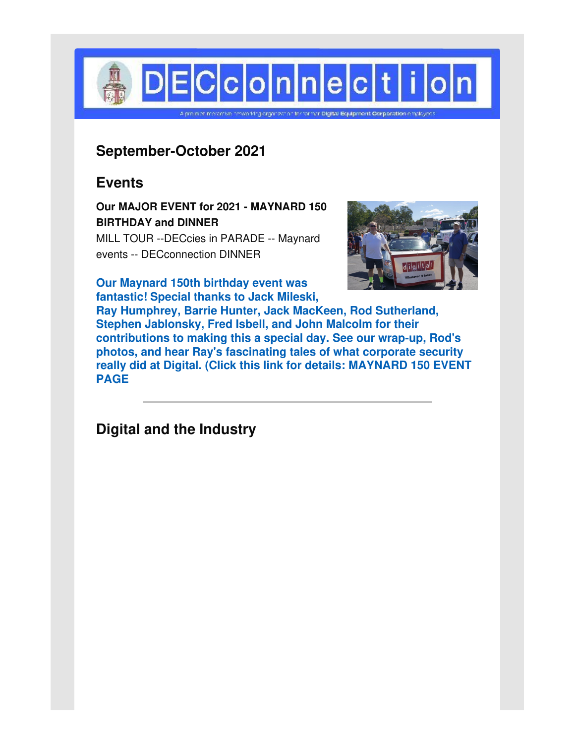

# **September-October 2021**

# **Events**

**Our MAJOR EVENT for 2021 - MAYNARD 150 BIRTHDAY and DINNER**

MILL TOUR --DECcies in PARADE -- Maynard events -- DECconnection DINNER



**Our Maynard 150th birthday event was fantastic! Special thanks to Jack Mileski,**

**Ray Humphrey, Barrie Hunter, Jack MacKeen, Rod Sutherland, Stephen Jablonsky, Fred Isbell, and John Malcolm for their contributions to making this a special day. See our wrap-up, Rod's photos, and hear Ray's fascinating tales of what corporate security really did at Digital. (Click this link for details: [MAYNARD](http://www.decconnection.org/events-Maynard150-19Sep21.htm) 150 EVENT PAGE**

**Digital and the Industry**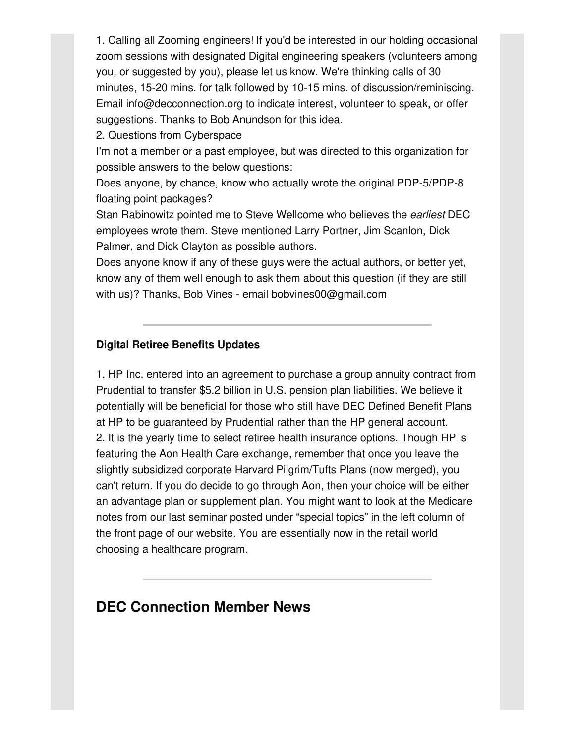1. Calling all Zooming engineers! If you'd be interested in our holding occasional zoom sessions with designated Digital engineering speakers (volunteers among you, or suggested by you), please let us know. We're thinking calls of 30 minutes, 15-20 mins. for talk followed by 10-15 mins. of discussion/reminiscing. Email info@decconnection.org to indicate interest, volunteer to speak, or offer suggestions. Thanks to Bob Anundson for this idea.

### 2. Questions from Cyberspace

I'm not a member or a past employee, but was directed to this organization for possible answers to the below questions:

Does anyone, by chance, know who actually wrote the original PDP-5/PDP-8 floating point packages?

Stan Rabinowitz pointed me to Steve Wellcome who believes the *earliest* DEC employees wrote them. Steve mentioned Larry Portner, Jim Scanlon, Dick Palmer, and Dick Clayton as possible authors.

Does anyone know if any of these guys were the actual authors, or better yet, know any of them well enough to ask them about this question (if they are still with us)? Thanks, Bob Vines - email bobvines00@gmail.com

#### **Digital Retiree Benefits Updates**

1. HP Inc. entered into an agreement to purchase a group annuity contract from Prudential to transfer \$5.2 billion in U.S. pension plan liabilities. We believe it potentially will be beneficial for those who still have DEC Defined Benefit Plans at HP to be guaranteed by Prudential rather than the HP general account. 2. It is the yearly time to select retiree health insurance options. Though HP is featuring the Aon Health Care exchange, remember that once you leave the slightly subsidized corporate Harvard Pilgrim/Tufts Plans (now merged), you can't return. If you do decide to go through Aon, then your choice will be either an advantage plan or supplement plan. You might want to look at the Medicare notes from our last seminar posted under "special topics" in the left column of the front page of our website. You are essentially now in the retail world choosing a healthcare program.

## **DEC Connection Member News**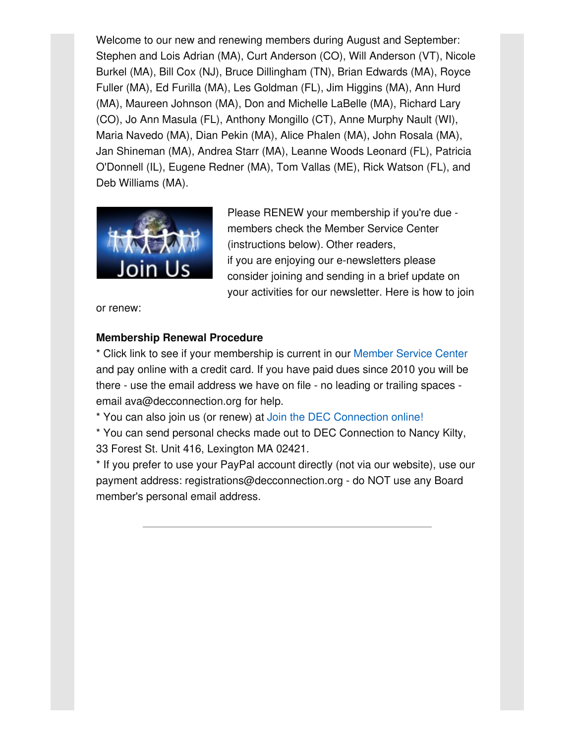Welcome to our new and renewing members during August and September: Stephen and Lois Adrian (MA), Curt Anderson (CO), Will Anderson (VT), Nicole Burkel (MA), Bill Cox (NJ), Bruce Dillingham (TN), Brian Edwards (MA), Royce Fuller (MA), Ed Furilla (MA), Les Goldman (FL), Jim Higgins (MA), Ann Hurd (MA), Maureen Johnson (MA), Don and Michelle LaBelle (MA), Richard Lary (CO), Jo Ann Masula (FL), Anthony Mongillo (CT), Anne Murphy Nault (WI), Maria Navedo (MA), Dian Pekin (MA), Alice Phalen (MA), John Rosala (MA), Jan Shineman (MA), Andrea Starr (MA), Leanne Woods Leonard (FL), Patricia O'Donnell (IL), Eugene Redner (MA), Tom Vallas (ME), Rick Watson (FL), and Deb Williams (MA).



Please RENEW your membership if you're due members check the Member Service Center (instructions below). Other readers, if you are enjoying our e-newsletters please consider joining and sending in a brief update on your activities for our newsletter. Here is how to join

or renew:

## **Membership Renewal Procedure**

\* Click link to see if your membership is current in our [Member](http://www.decconnection.org/msclogin.php) Service Center and pay online with a credit card. If you have paid dues since 2010 you will be there - use the email address we have on file - no leading or trailing spaces email ava@decconnection.org for help.

\* You can also join us (or renew) at Join the DEC [Connection](http://www.decconnection.org/join-online.htm) online!

\* You can send personal checks made out to DEC Connection to Nancy Kilty, 33 Forest St. Unit 416, Lexington MA 02421.

\* If you prefer to use your PayPal account directly (not via our website), use our payment address: registrations@decconnection.org - do NOT use any Board member's personal email address.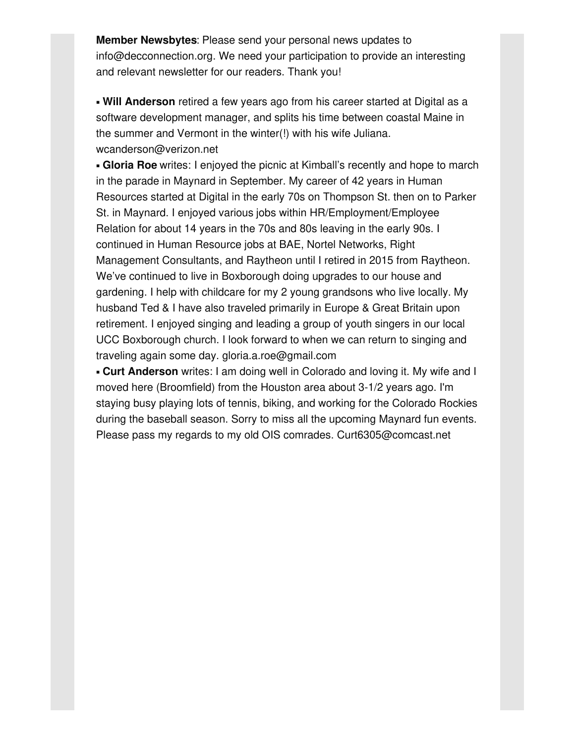**Member Newsbytes**: Please send your personal news updates to info@decconnection.org. We need your participation to provide an interesting and relevant newsletter for our readers. Thank you!

▪ **Will Anderson** retired a few years ago from his career started at Digital as a software development manager, and splits his time between coastal Maine in the summer and Vermont in the winter(!) with his wife Juliana. wcanderson@verizon.net

**Example 1 Gioria Roe** writes: I enjoyed the picnic at Kimball's recently and hope to march in the parade in Maynard in September. My career of 42 years in Human Resources started at Digital in the early 70s on Thompson St. then on to Parker St. in Maynard. I enjoyed various jobs within HR/Employment/Employee Relation for about 14 years in the 70s and 80s leaving in the early 90s. I continued in Human Resource jobs at BAE, Nortel Networks, Right Management Consultants, and Raytheon until I retired in 2015 from Raytheon. We've continued to live in Boxborough doing upgrades to our house and gardening. I help with childcare for my 2 young grandsons who live locally. My husband Ted & I have also traveled primarily in Europe & Great Britain upon retirement. I enjoyed singing and leading a group of youth singers in our local UCC Boxborough church. I look forward to when we can return to singing and traveling again some day. gloria.a.roe@gmail.com

▪ **Curt Anderson** writes: I am doing well in Colorado and loving it. My wife and I moved here (Broomfield) from the Houston area about 3-1/2 years ago. I'm staying busy playing lots of tennis, biking, and working for the Colorado Rockies during the baseball season. Sorry to miss all the upcoming Maynard fun events. Please pass my regards to my old OIS comrades. Curt6305@comcast.net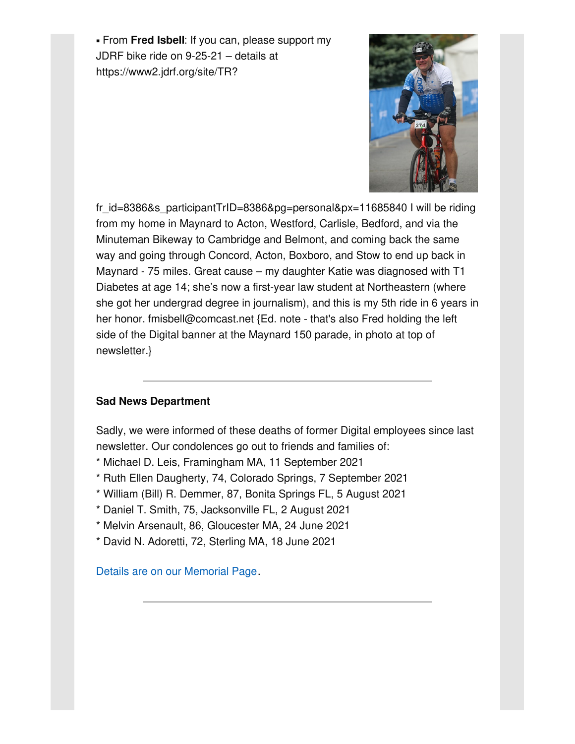▪ From **Fred Isbell**: If you can, please support my JDRF bike ride on 9-25-21 – details at https://www2.jdrf.org/site/TR?



fr id=8386&s participantTrID=8386&pg=personal&px=11685840 I will be riding from my home in Maynard to Acton, Westford, Carlisle, Bedford, and via the Minuteman Bikeway to Cambridge and Belmont, and coming back the same way and going through Concord, Acton, Boxboro, and Stow to end up back in Maynard - 75 miles. Great cause – my daughter Katie was diagnosed with T1 Diabetes at age 14; she's now a first-year law student at Northeastern (where she got her undergrad degree in journalism), and this is my 5th ride in 6 years in her honor. fmisbell@comcast.net {Ed. note - that's also Fred holding the left side of the Digital banner at the Maynard 150 parade, in photo at top of newsletter.}

## **Sad News Department**

Sadly, we were informed of these deaths of former Digital employees since last newsletter. Our condolences go out to friends and families of:

- \* Michael D. Leis, Framingham MA, 11 September 2021
- \* Ruth Ellen Daugherty, 74, Colorado Springs, 7 September 2021
- \* William (Bill) R. Demmer, 87, Bonita Springs FL, 5 August 2021
- \* Daniel T. Smith, 75, Jacksonville FL, 2 August 2021
- \* Melvin Arsenault, 86, Gloucester MA, 24 June 2021
- \* David N. Adoretti, 72, Sterling MA, 18 June 2021

Details are on our [Memorial](http://www.decconnection.org/memorials.htm) Page.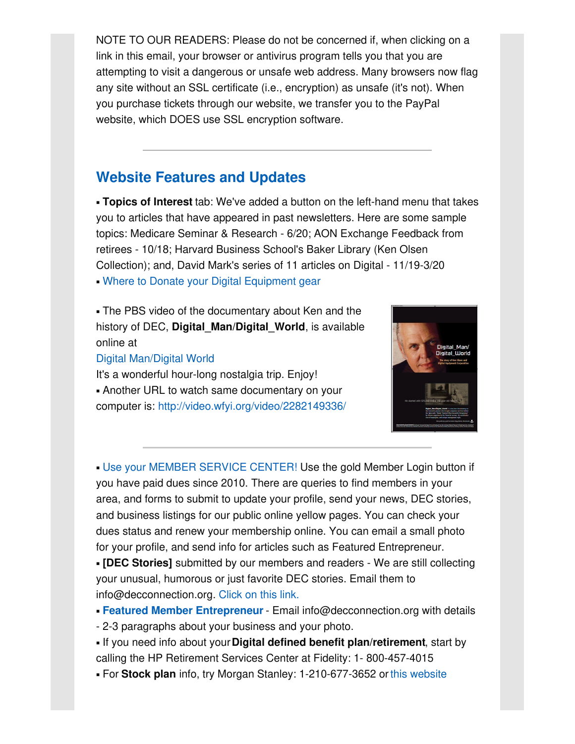NOTE TO OUR READERS: Please do not be concerned if, when clicking on a link in this email, your browser or antivirus program tells you that you are attempting to visit a dangerous or unsafe web address. Many browsers now flag any site without an SSL certificate (i.e., encryption) as unsafe (it's not). When you purchase tickets through our website, we transfer you to the PayPal website, which DOES use SSL encryption software.

# **Website [Features](http://www.decconnection.org) and Updates**

▪ **Topics of Interest** tab: We've added a button on the left-hand menu that takes you to articles that have appeared in past newsletters. Here are some sample topics: Medicare Seminar & Research - 6/20; AON Exchange Feedback from retirees - 10/18; Harvard Business School's Baker Library (Ken Olsen Collection); and, David Mark's series of 11 articles on Digital - 11/19-3/20 • Where to Donate your Digital [Equipment](http://www.decconnection.org/DECdonations.htm) gear

• The PBS video of the documentary about Ken and the history of DEC, **Digital\_Man/Digital\_World**, is available online at

### Digital [Man/Digital](https://www.pbs.org/video/digital-man-digital-world/) World

It's a wonderful hour-long nostalgia trip. Enjoy! **.** Another URL to watch same documentary on your computer is: <http://video.wfyi.org/video/2282149336/>



**. Use your MEMBER [SERVICE](http://www.decconnection.org/msclogin.php) CENTER! Use the gold Member Login button if** you have paid dues since 2010. There are queries to find members in your area, and forms to submit to update your profile, send your news, DEC stories, and business listings for our public online yellow pages. You can check your dues status and renew your membership online. You can email a small photo for your profile, and send info for articles such as Featured Entrepreneur.

▪ **[DEC Stories]** submitted by our members and readers - We are still collecting your unusual, humorous or just favorite DEC stories. Email them to info@decconnection.org. [Click](http://www.decconnection.org/stories.htm) on this link.

- **Featured Member [Entrepreneur](http://www.decconnection.org/entrepreneur.htm)** Email info@decconnection.org with details
- 2-3 paragraphs about your business and your photo.
- If you need info about your**Digital defined benefit plan/retirement**, start by calling the HP Retirement Services Center at Fidelity: 1- 800-457-4015
- For **Stock plan** info, try Morgan Stanley: 1-210-677-3652 orthis [website](http://www.morganstanley.com/spc/knowledge/getting-started/service/stockplan-connect-has-replaced-benefit-access.html)